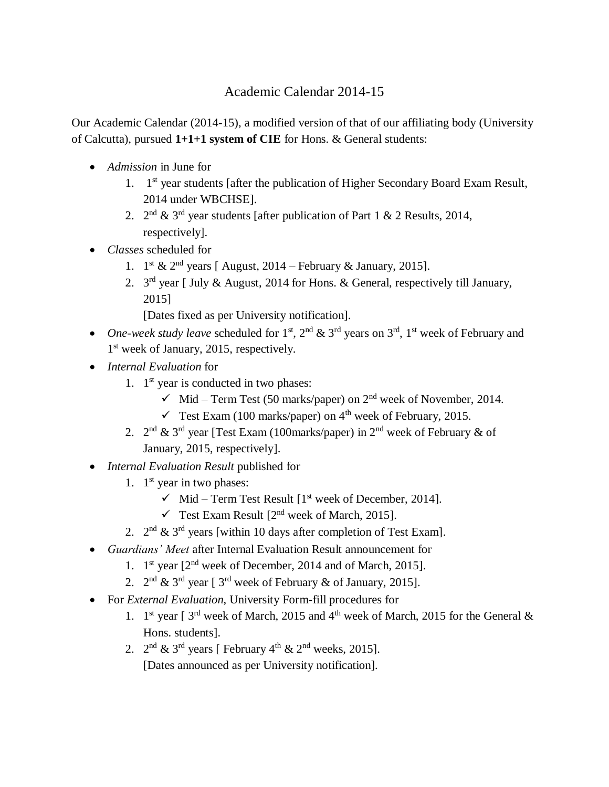## Academic Calendar 2014-15

Our Academic Calendar (2014-15), a modified version of that of our affiliating body (University of Calcutta), pursued **1+1+1 system of CIE** for Hons. & General students:

- *Admission* in June for
	- 1. 1<sup>st</sup> year students [after the publication of Higher Secondary Board Exam Result, 2014 under WBCHSE].
	- 2.  $2^{nd}$  & 3<sup>rd</sup> year students [after publication of Part 1 & 2 Results, 2014, respectively].
- *Classes* scheduled for
	- 1.  $1^{\text{st}}$  &  $2^{\text{nd}}$  years [ August, 2014 February & January, 2015].
	- 2.  $3<sup>rd</sup>$  year [ July & August, 2014 for Hons. & General, respectively till January, 2015]

[Dates fixed as per University notification].

- One-week *study leave* scheduled for  $1^{st}$ ,  $2^{nd}$  &  $3^{rd}$  years on  $3^{rd}$ ,  $1^{st}$  week of February and 1<sup>st</sup> week of January, 2015, respectively.
- *Internal Evaluation* for
	- 1. 1<sup>st</sup> year is conducted in two phases:
		- $\checkmark$  Mid Term Test (50 marks/paper) on 2<sup>nd</sup> week of November, 2014.
		- $\checkmark$  Test Exam (100 marks/paper) on 4<sup>th</sup> week of February, 2015.
	- 2.  $2^{nd}$  &  $3^{rd}$  year [Test Exam (100marks/paper) in  $2^{nd}$  week of February & of January, 2015, respectively].
- *Internal Evaluation Result* published for
	- 1. 1<sup>st</sup> year in two phases:
		- $\checkmark$  Mid Term Test Result [1<sup>st</sup> week of December, 2014].
		- Test Exam Result  $[2^{nd}$  week of March, 2015].
	- 2.  $2^{nd}$  &  $3^{rd}$  years [within 10 days after completion of Test Exam].
- *Guardians' Meet* after Internal Evaluation Result announcement for
	- 1. 1<sup>st</sup> year [2<sup>nd</sup> week of December, 2014 and of March, 2015].
	- 2.  $2^{nd}$  &  $3^{rd}$  year [  $3^{rd}$  week of February & of January, 2015].
- For *External Evaluation*, University Form-fill procedures for
	- 1. 1<sup>st</sup> year [ $3<sup>rd</sup>$  week of March, 2015 and 4<sup>th</sup> week of March, 2015 for the General & Hons. students].
	- 2.  $2^{\text{nd}}$  & 3<sup>rd</sup> years [ February 4<sup>th</sup> & 2<sup>nd</sup> weeks, 2015]. [Dates announced as per University notification].